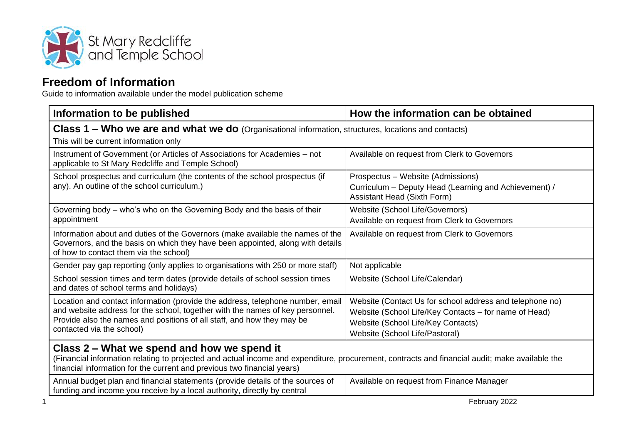

## **Freedom of Information**

Guide to information available under the model publication scheme

| Information to be published                                                                                                                                                                                                                                              | How the information can be obtained                                                                                                                                                       |  |
|--------------------------------------------------------------------------------------------------------------------------------------------------------------------------------------------------------------------------------------------------------------------------|-------------------------------------------------------------------------------------------------------------------------------------------------------------------------------------------|--|
| Class 1 - Who we are and what we do (Organisational information, structures, locations and contacts)<br>This will be current information only                                                                                                                            |                                                                                                                                                                                           |  |
| Instrument of Government (or Articles of Associations for Academies - not<br>applicable to St Mary Redcliffe and Temple School)                                                                                                                                          | Available on request from Clerk to Governors                                                                                                                                              |  |
| School prospectus and curriculum (the contents of the school prospectus (if<br>any). An outline of the school curriculum.)                                                                                                                                               | Prospectus – Website (Admissions)<br>Curriculum – Deputy Head (Learning and Achievement) /<br>Assistant Head (Sixth Form)                                                                 |  |
| Governing body – who's who on the Governing Body and the basis of their<br>appointment                                                                                                                                                                                   | Website (School Life/Governors)<br>Available on request from Clerk to Governors                                                                                                           |  |
| Information about and duties of the Governors (make available the names of the<br>Governors, and the basis on which they have been appointed, along with details<br>of how to contact them via the school)                                                               | Available on request from Clerk to Governors                                                                                                                                              |  |
| Gender pay gap reporting (only applies to organisations with 250 or more staff)                                                                                                                                                                                          | Not applicable                                                                                                                                                                            |  |
| School session times and term dates (provide details of school session times<br>and dates of school terms and holidays)                                                                                                                                                  | Website (School Life/Calendar)                                                                                                                                                            |  |
| Location and contact information (provide the address, telephone number, email<br>and website address for the school, together with the names of key personnel.<br>Provide also the names and positions of all staff, and how they may be<br>contacted via the school)   | Website (Contact Us for school address and telephone no)<br>Website (School Life/Key Contacts - for name of Head)<br>Website (School Life/Key Contacts)<br>Website (School Life/Pastoral) |  |
| Class 2 – What we spend and how we spend it<br>(Financial information relating to projected and actual income and expenditure, procurement, contracts and financial audit; make available the<br>financial information for the current and previous two financial years) |                                                                                                                                                                                           |  |
| Annual budget plan and financial statements (provide details of the sources of<br>funding and income you receive by a local authority, directly by central                                                                                                               | Available on request from Finance Manager                                                                                                                                                 |  |
|                                                                                                                                                                                                                                                                          | February 2022                                                                                                                                                                             |  |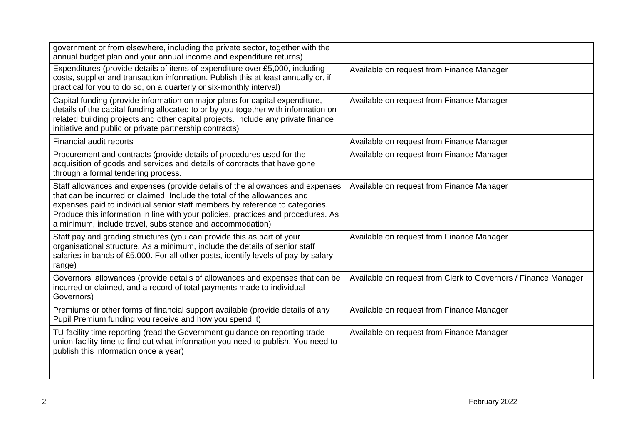| government or from elsewhere, including the private sector, together with the<br>annual budget plan and your annual income and expenditure returns)                                                                                                                                                                                                                                         |                                                                |
|---------------------------------------------------------------------------------------------------------------------------------------------------------------------------------------------------------------------------------------------------------------------------------------------------------------------------------------------------------------------------------------------|----------------------------------------------------------------|
| Expenditures (provide details of items of expenditure over £5,000, including<br>costs, supplier and transaction information. Publish this at least annually or, if<br>practical for you to do so, on a quarterly or six-monthly interval)                                                                                                                                                   | Available on request from Finance Manager                      |
| Capital funding (provide information on major plans for capital expenditure,<br>details of the capital funding allocated to or by you together with information on<br>related building projects and other capital projects. Include any private finance<br>initiative and public or private partnership contracts)                                                                          | Available on request from Finance Manager                      |
| Financial audit reports                                                                                                                                                                                                                                                                                                                                                                     | Available on request from Finance Manager                      |
| Procurement and contracts (provide details of procedures used for the<br>acquisition of goods and services and details of contracts that have gone<br>through a formal tendering process.                                                                                                                                                                                                   | Available on request from Finance Manager                      |
| Staff allowances and expenses (provide details of the allowances and expenses<br>that can be incurred or claimed. Include the total of the allowances and<br>expenses paid to individual senior staff members by reference to categories.<br>Produce this information in line with your policies, practices and procedures. As<br>a minimum, include travel, subsistence and accommodation) | Available on request from Finance Manager                      |
| Staff pay and grading structures (you can provide this as part of your<br>organisational structure. As a minimum, include the details of senior staff<br>salaries in bands of £5,000. For all other posts, identify levels of pay by salary<br>range)                                                                                                                                       | Available on request from Finance Manager                      |
| Governors' allowances (provide details of allowances and expenses that can be<br>incurred or claimed, and a record of total payments made to individual<br>Governors)                                                                                                                                                                                                                       | Available on request from Clerk to Governors / Finance Manager |
| Premiums or other forms of financial support available (provide details of any<br>Pupil Premium funding you receive and how you spend it)                                                                                                                                                                                                                                                   | Available on request from Finance Manager                      |
| TU facility time reporting (read the Government guidance on reporting trade<br>union facility time to find out what information you need to publish. You need to<br>publish this information once a year)                                                                                                                                                                                   | Available on request from Finance Manager                      |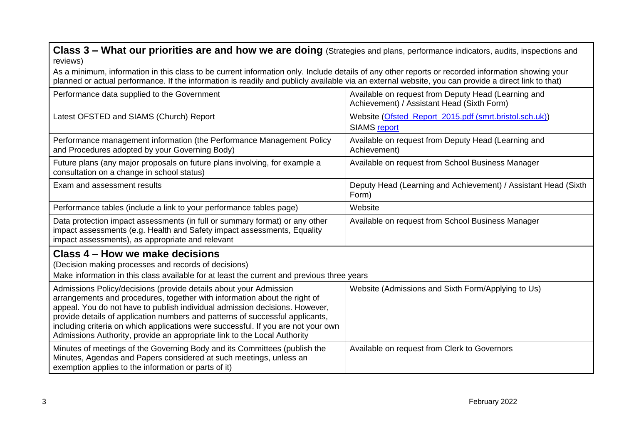**Class 3 – What our priorities are and how we are doing** (Strategies and plans, performance indicators, audits, inspections and reviews)

As a minimum, information in this class to be current information only. Include details of any other reports or recorded information showing your planned or actual performance. If the information is readily and publicly available via an external website, you can provide a direct link to that)

| Performance data supplied to the Government                                                                                                                                                                                                                                                                                                                                                                                                                                     | Available on request from Deputy Head (Learning and<br>Achievement) / Assistant Head (Sixth Form) |
|---------------------------------------------------------------------------------------------------------------------------------------------------------------------------------------------------------------------------------------------------------------------------------------------------------------------------------------------------------------------------------------------------------------------------------------------------------------------------------|---------------------------------------------------------------------------------------------------|
| Latest OFSTED and SIAMS (Church) Report                                                                                                                                                                                                                                                                                                                                                                                                                                         | Website (Ofsted_Report_2015.pdf (smrt.bristol.sch.uk))<br>SIAMS report                            |
| Performance management information (the Performance Management Policy<br>and Procedures adopted by your Governing Body)                                                                                                                                                                                                                                                                                                                                                         | Available on request from Deputy Head (Learning and<br>Achievement)                               |
| Future plans (any major proposals on future plans involving, for example a<br>consultation on a change in school status)                                                                                                                                                                                                                                                                                                                                                        | Available on request from School Business Manager                                                 |
| Exam and assessment results                                                                                                                                                                                                                                                                                                                                                                                                                                                     | Deputy Head (Learning and Achievement) / Assistant Head (Sixth<br>Form)                           |
| Performance tables (include a link to your performance tables page)                                                                                                                                                                                                                                                                                                                                                                                                             | Website                                                                                           |
| Data protection impact assessments (in full or summary format) or any other<br>impact assessments (e.g. Health and Safety impact assessments, Equality<br>impact assessments), as appropriate and relevant                                                                                                                                                                                                                                                                      | Available on request from School Business Manager                                                 |
| Class 4 – How we make decisions<br>(Decision making processes and records of decisions)<br>Make information in this class available for at least the current and previous three years                                                                                                                                                                                                                                                                                           |                                                                                                   |
| Admissions Policy/decisions (provide details about your Admission<br>arrangements and procedures, together with information about the right of<br>appeal. You do not have to publish individual admission decisions. However,<br>provide details of application numbers and patterns of successful applicants,<br>including criteria on which applications were successful. If you are not your own<br>Admissions Authority, provide an appropriate link to the Local Authority | Website (Admissions and Sixth Form/Applying to Us)                                                |
| Minutes of meetings of the Governing Body and its Committees (publish the<br>Minutes, Agendas and Papers considered at such meetings, unless an<br>exemption applies to the information or parts of it)                                                                                                                                                                                                                                                                         | Available on request from Clerk to Governors                                                      |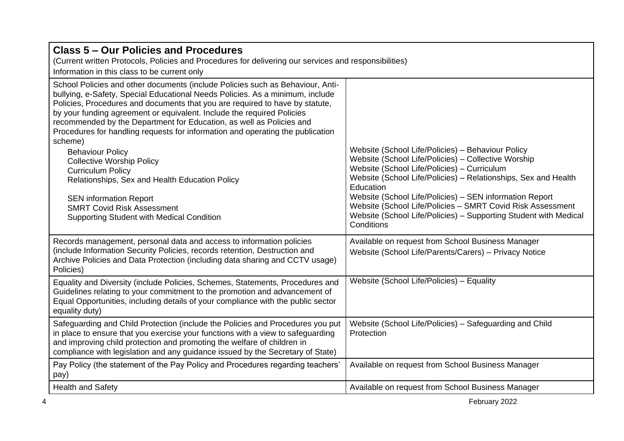| <b>Class 5 – Our Policies and Procedures</b><br>(Current written Protocols, Policies and Procedures for delivering our services and responsibilities)<br>Information in this class to be current only                                                                                                                                                                                                                                                                                                                                                                                                                                                                                                                                                                 |                                                                                                                                                                                                                                                                                                                                                                                                                                                   |  |
|-----------------------------------------------------------------------------------------------------------------------------------------------------------------------------------------------------------------------------------------------------------------------------------------------------------------------------------------------------------------------------------------------------------------------------------------------------------------------------------------------------------------------------------------------------------------------------------------------------------------------------------------------------------------------------------------------------------------------------------------------------------------------|---------------------------------------------------------------------------------------------------------------------------------------------------------------------------------------------------------------------------------------------------------------------------------------------------------------------------------------------------------------------------------------------------------------------------------------------------|--|
| School Policies and other documents (include Policies such as Behaviour, Anti-<br>bullying, e-Safety, Special Educational Needs Policies. As a minimum, include<br>Policies, Procedures and documents that you are required to have by statute,<br>by your funding agreement or equivalent. Include the required Policies<br>recommended by the Department for Education, as well as Policies and<br>Procedures for handling requests for information and operating the publication<br>scheme)<br><b>Behaviour Policy</b><br><b>Collective Worship Policy</b><br><b>Curriculum Policy</b><br>Relationships, Sex and Health Education Policy<br><b>SEN information Report</b><br><b>SMRT Covid Risk Assessment</b><br><b>Supporting Student with Medical Condition</b> | Website (School Life/Policies) - Behaviour Policy<br>Website (School Life/Policies) - Collective Worship<br>Website (School Life/Policies) - Curriculum<br>Website (School Life/Policies) - Relationships, Sex and Health<br>Education<br>Website (School Life/Policies) - SEN information Report<br>Website (School Life/Policies - SMRT Covid Risk Assessment<br>Website (School Life/Policies) - Supporting Student with Medical<br>Conditions |  |
| Records management, personal data and access to information policies<br>(include Information Security Policies, records retention, Destruction and<br>Archive Policies and Data Protection (including data sharing and CCTV usage)<br>Policies)                                                                                                                                                                                                                                                                                                                                                                                                                                                                                                                       | Available on request from School Business Manager<br>Website (School Life/Parents/Carers) - Privacy Notice                                                                                                                                                                                                                                                                                                                                        |  |
| Equality and Diversity (include Policies, Schemes, Statements, Procedures and<br>Guidelines relating to your commitment to the promotion and advancement of<br>Equal Opportunities, including details of your compliance with the public sector<br>equality duty)                                                                                                                                                                                                                                                                                                                                                                                                                                                                                                     | Website (School Life/Policies) - Equality                                                                                                                                                                                                                                                                                                                                                                                                         |  |
| Safeguarding and Child Protection (include the Policies and Procedures you put<br>in place to ensure that you exercise your functions with a view to safeguarding<br>and improving child protection and promoting the welfare of children in<br>compliance with legislation and any guidance issued by the Secretary of State)                                                                                                                                                                                                                                                                                                                                                                                                                                        | Website (School Life/Policies) - Safeguarding and Child<br>Protection                                                                                                                                                                                                                                                                                                                                                                             |  |
| Pay Policy (the statement of the Pay Policy and Procedures regarding teachers'<br>pay)                                                                                                                                                                                                                                                                                                                                                                                                                                                                                                                                                                                                                                                                                | Available on request from School Business Manager                                                                                                                                                                                                                                                                                                                                                                                                 |  |
| <b>Health and Safety</b>                                                                                                                                                                                                                                                                                                                                                                                                                                                                                                                                                                                                                                                                                                                                              | Available on request from School Business Manager                                                                                                                                                                                                                                                                                                                                                                                                 |  |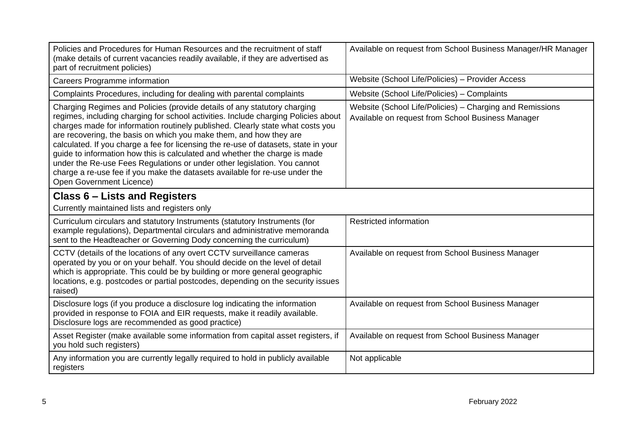| Policies and Procedures for Human Resources and the recruitment of staff<br>(make details of current vacancies readily available, if they are advertised as<br>part of recruitment policies)                                                                                                                                                                                                                                                                                                                                                                                                                                                                                       | Available on request from School Business Manager/HR Manager                                                  |
|------------------------------------------------------------------------------------------------------------------------------------------------------------------------------------------------------------------------------------------------------------------------------------------------------------------------------------------------------------------------------------------------------------------------------------------------------------------------------------------------------------------------------------------------------------------------------------------------------------------------------------------------------------------------------------|---------------------------------------------------------------------------------------------------------------|
| <b>Careers Programme information</b>                                                                                                                                                                                                                                                                                                                                                                                                                                                                                                                                                                                                                                               | Website (School Life/Policies) - Provider Access                                                              |
| Complaints Procedures, including for dealing with parental complaints                                                                                                                                                                                                                                                                                                                                                                                                                                                                                                                                                                                                              | Website (School Life/Policies) - Complaints                                                                   |
| Charging Regimes and Policies (provide details of any statutory charging<br>regimes, including charging for school activities. Include charging Policies about<br>charges made for information routinely published. Clearly state what costs you<br>are recovering, the basis on which you make them, and how they are<br>calculated. If you charge a fee for licensing the re-use of datasets, state in your<br>guide to information how this is calculated and whether the charge is made<br>under the Re-use Fees Regulations or under other legislation. You cannot<br>charge a re-use fee if you make the datasets available for re-use under the<br>Open Government Licence) | Website (School Life/Policies) - Charging and Remissions<br>Available on request from School Business Manager |
| <b>Class 6 – Lists and Registers</b><br>Currently maintained lists and registers only                                                                                                                                                                                                                                                                                                                                                                                                                                                                                                                                                                                              |                                                                                                               |
| Curriculum circulars and statutory Instruments (statutory Instruments (for<br>example regulations), Departmental circulars and administrative memoranda<br>sent to the Headteacher or Governing Dody concerning the curriculum)                                                                                                                                                                                                                                                                                                                                                                                                                                                    | Restricted information                                                                                        |
| CCTV (details of the locations of any overt CCTV surveillance cameras<br>operated by you or on your behalf. You should decide on the level of detail<br>which is appropriate. This could be by building or more general geographic<br>locations, e.g. postcodes or partial postcodes, depending on the security issues<br>raised)                                                                                                                                                                                                                                                                                                                                                  | Available on request from School Business Manager                                                             |
| Disclosure logs (if you produce a disclosure log indicating the information<br>provided in response to FOIA and EIR requests, make it readily available.<br>Disclosure logs are recommended as good practice)                                                                                                                                                                                                                                                                                                                                                                                                                                                                      | Available on request from School Business Manager                                                             |
| Asset Register (make available some information from capital asset registers, if<br>you hold such registers)                                                                                                                                                                                                                                                                                                                                                                                                                                                                                                                                                                       | Available on request from School Business Manager                                                             |
| Any information you are currently legally required to hold in publicly available<br>registers                                                                                                                                                                                                                                                                                                                                                                                                                                                                                                                                                                                      | Not applicable                                                                                                |